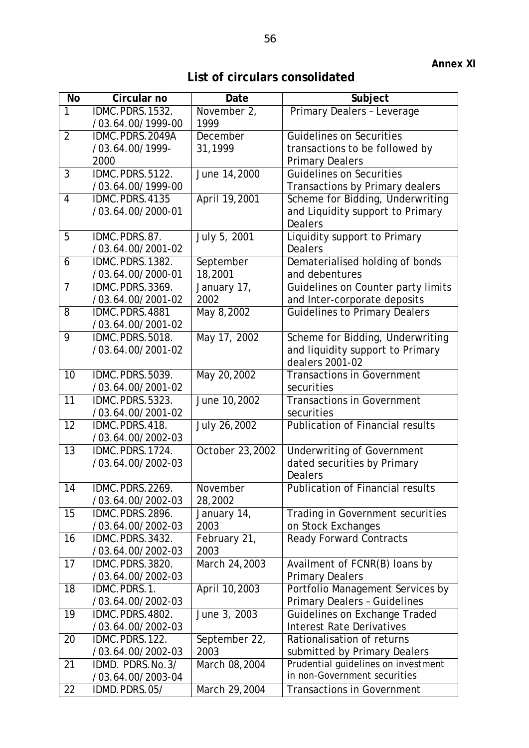**List of circulars consolidated** 

| <b>No</b>       | Circular no                          | Date                | Subject                                                |
|-----------------|--------------------------------------|---------------------|--------------------------------------------------------|
| $\overline{1}$  | IDMC.PDRS.1532.                      | November 2,         | Primary Dealers - Leverage                             |
|                 | /03.64.00/1999-00                    | 1999                |                                                        |
| $\overline{2}$  | IDMC.PDRS.2049A                      | December            | Guidelines on Securities                               |
|                 | /03.64.00/1999-                      | 31,1999             | transactions to be followed by                         |
|                 | 2000                                 |                     | <b>Primary Dealers</b>                                 |
| $\overline{3}$  | IDMC.PDRS.5122.                      | June 14,2000        | <b>Guidelines on Securities</b>                        |
|                 | /03.64.00/1999-00                    |                     | Transactions by Primary dealers                        |
| $\overline{4}$  | IDMC.PDRS.4135                       | April 19,2001       | Scheme for Bidding, Underwriting                       |
|                 | /03.64.00/2000-01                    |                     | and Liquidity support to Primary                       |
|                 |                                      |                     | <b>Dealers</b>                                         |
| 5               | IDMC.PDRS.87.                        | July 5, 2001        | Liquidity support to Primary                           |
|                 | /03.64.00/2001-02                    |                     | <b>Dealers</b>                                         |
| 6               | IDMC.PDRS.1382.                      | September           | Dematerialised holding of bonds                        |
|                 | /03.64.00/2000-01                    | 18,2001             | and debentures                                         |
| $\overline{7}$  | IDMC.PDRS.3369.                      | January 17,         | Guidelines on Counter party limits                     |
| 8               | /03.64.00/2001-02                    | 2002                | and Inter-corporate deposits                           |
|                 | IDMC.PDRS.4881<br>/03.64.00/2001-02  | May 8,2002          | <b>Guidelines to Primary Dealers</b>                   |
| 9               | IDMC.PDRS.5018.                      | May 17, 2002        | Scheme for Bidding, Underwriting                       |
|                 | /03.64.00/2001-02                    |                     | and liquidity support to Primary                       |
|                 |                                      |                     | dealers 2001-02                                        |
| 10              | IDMC.PDRS.5039.                      | May 20,2002         | <b>Transactions in Government</b>                      |
|                 | /03.64.00/2001-02                    |                     | securities                                             |
| 11              | IDMC.PDRS.5323.                      | June 10,2002        | <b>Transactions in Government</b>                      |
|                 | /03.64.00/2001-02                    |                     | securities                                             |
| 12              | IDMC.PDRS.418.                       | July 26,2002        | <b>Publication of Financial results</b>                |
|                 | /03.64.00/2002-03                    |                     |                                                        |
| 13              | IDMC.PDRS.1724.                      | October 23,2002     | <b>Underwriting of Government</b>                      |
|                 | /03.64.00/2002-03                    |                     | dated securities by Primary                            |
|                 |                                      |                     | <b>Dealers</b>                                         |
| $\overline{14}$ | IDMC.PDRS.2269.                      | November            | <b>Publication of Financial results</b>                |
|                 | /03.64.00/2002-03                    | 28,2002             |                                                        |
| 15              | IDMC.PDRS.2896.<br>/03.64.00/2002-03 | January 14,<br>2003 | Trading in Government securities<br>on Stock Exchanges |
| 16              | IDMC.PDRS.3432.                      | February 21,        | <b>Ready Forward Contracts</b>                         |
|                 | /03.64.00/2002-03                    | 2003                |                                                        |
| 17              | IDMC.PDRS.3820.                      | March 24,2003       | Availment of FCNR(B) loans by                          |
|                 | /03.64.00/2002-03                    |                     | <b>Primary Dealers</b>                                 |
| 18              | IDMC.PDRS.1.                         | April 10,2003       | Portfolio Management Services by                       |
|                 | /03.64.00/2002-03                    |                     | <b>Primary Dealers - Guidelines</b>                    |
| 19              | IDMC.PDRS.4802.                      | June 3, 2003        | Guidelines on Exchange Traded                          |
|                 | /03.64.00/2002-03                    |                     | <b>Interest Rate Derivatives</b>                       |
| 20              | IDMC.PDRS.122.                       | September 22,       | Rationalisation of returns                             |
|                 | /03.64.00/2002-03                    | 2003                | submitted by Primary Dealers                           |
| 21              | IDMD. PDRS.No.3/                     | March 08,2004       | Prudential guidelines on investment                    |
|                 | /03.64.00/2003-04                    |                     | in non-Government securities                           |
| 22              | IDMD.PDRS.05/                        | March 29,2004       | <b>Transactions in Government</b>                      |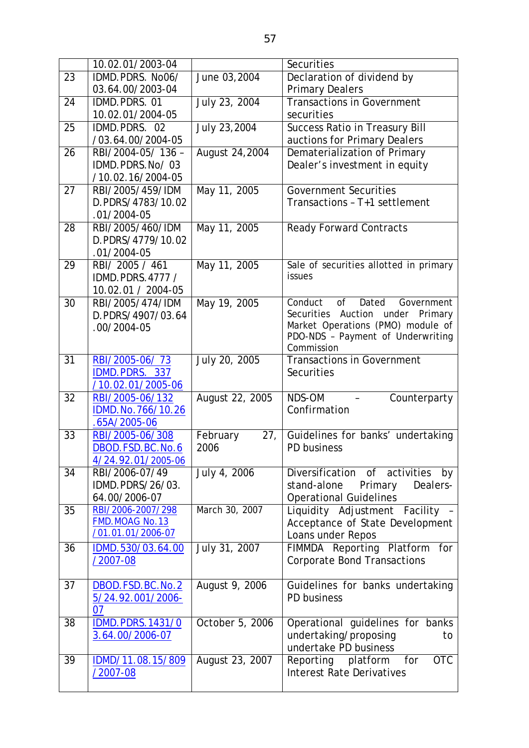|    | 10.02.01/2003-04                    |                 | Securities                                                             |
|----|-------------------------------------|-----------------|------------------------------------------------------------------------|
| 23 | IDMD.PDRS. No06/                    | June 03,2004    | Declaration of dividend by                                             |
|    | 03.64.00/2003-04                    |                 | <b>Primary Dealers</b>                                                 |
| 24 | IDMD.PDRS.01                        | July 23, 2004   | <b>Transactions in Government</b>                                      |
|    | 10.02.01/2004-05                    |                 | securities                                                             |
| 25 | IDMD.PDRS. 02                       | July 23,2004    | Success Ratio in Treasury Bill                                         |
|    | /03.64.00/2004-05                   |                 | auctions for Primary Dealers                                           |
| 26 | RBI/2004-05/136-                    | August 24, 2004 | Dematerialization of Primary                                           |
|    | IDMD.PDRS.No/03                     |                 | Dealer's investment in equity                                          |
|    | /10.02.16/2004-05                   |                 |                                                                        |
| 27 | RBI/2005/459/IDM                    | May 11, 2005    | <b>Government Securities</b>                                           |
|    | D.PDRS/4783/10.02                   |                 | Transactions - T+1 settlement                                          |
|    | $.01/2004-05$                       |                 |                                                                        |
| 28 | RBI/2005/460/IDM                    | May 11, 2005    | <b>Ready Forward Contracts</b>                                         |
|    | D.PDRS/4779/10.02                   |                 |                                                                        |
|    | $.01/2004-05$                       |                 |                                                                        |
| 29 | RBI/ 2005 / 461                     | May 11, 2005    | Sale of securities allotted in primary                                 |
|    | IDMD.PDRS.4777 /                    |                 | issues                                                                 |
|    | 10.02.01 / 2004-05                  |                 |                                                                        |
| 30 | RBI/2005/474/IDM                    | May 19, 2005    | Conduct<br>Dated<br>of<br>Government                                   |
|    | D.PDRS/4907/03.64                   |                 | Securities<br>Auction<br>under<br>Primary                              |
|    | $.00/2004-05$                       |                 | Market Operations (PMO) module of<br>PDO-NDS - Payment of Underwriting |
|    |                                     |                 | Commission                                                             |
| 31 | RBI/2005-06/73                      | July 20, 2005   | <b>Transactions in Government</b>                                      |
|    | IDMD.PDRS. 337                      |                 | Securities                                                             |
|    | /10.02.01/2005-06                   |                 |                                                                        |
| 32 | RBI/2005-06/132                     | August 22, 2005 | NDS-OM<br>Counterparty                                                 |
|    | IDMD.No.766/10.26                   |                 | Confirmation                                                           |
|    | $.65A/2005-06$                      |                 |                                                                        |
| 33 | RBI/2005-06/308                     | February<br>27, | Guidelines for banks' undertaking                                      |
|    | DBOD.FSD.BC.No.6                    | 2006            | PD business                                                            |
|    | 4/24.92.01/2005-06                  |                 |                                                                        |
| 34 | RBI/2006-07/49                      | July 4, 2006    | Diversification of<br>activities<br>by                                 |
|    | IDMD.PDRS/26/03.                    |                 | Primary<br>Dealers-<br>stand-alone                                     |
|    | 64.00/2006-07                       |                 | <b>Operational Guidelines</b>                                          |
| 35 | RBI/2006-2007/298                   | March 30, 2007  | Liquidity Adjustment Facility -                                        |
|    | FMD.MOAG No.13<br>/01.01.01/2006-07 |                 | Acceptance of State Development                                        |
|    |                                     |                 | Loans under Repos                                                      |
| 36 | IDMD.530/03.64.00                   | July 31, 2007   | FIMMDA Reporting Platform<br>for                                       |
|    | /2007-08                            |                 | <b>Corporate Bond Transactions</b>                                     |
| 37 | DBOD.FSD.BC.No.2                    | August 9, 2006  | Guidelines for banks undertaking                                       |
|    | 5/24.92.001/2006-                   |                 | PD business                                                            |
|    | 07                                  |                 |                                                                        |
| 38 | <b>IDMD.PDRS.1431/0</b>             | October 5, 2006 | Operational guidelines for banks                                       |
|    | 3.64.00/2006-07                     |                 | undertaking/proposing<br>to                                            |
|    |                                     |                 | undertake PD business                                                  |
| 39 | IDMD/11.08.15/809                   | August 23, 2007 | <b>OTC</b><br>Reporting<br>for<br>platform                             |
|    | /2007-08                            |                 | <b>Interest Rate Derivatives</b>                                       |
|    |                                     |                 |                                                                        |